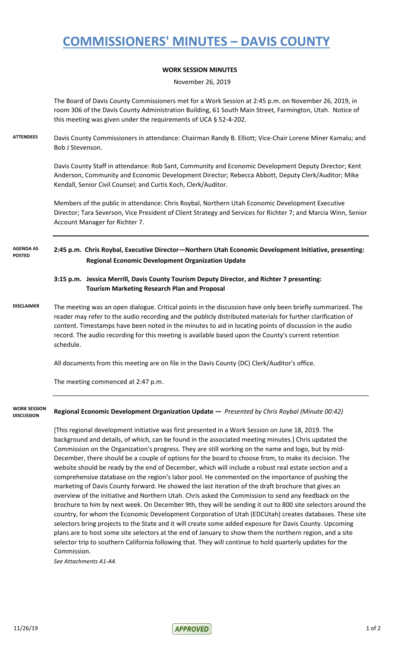# **COMMISSIONERS' MINUTES – DAVIS COUNTY**

### **WORK SESSION MINUTES**

November 26, 2019

The Board of Davis County Commissioners met for a Work Session at 2:45 p.m. on November 26, 2019, in room 306 of the Davis County Administration Building, 61 South Main Street, Farmington, Utah. Notice of this meeting was given under the requirements of UCA § 52-4-202.

**ATTENDEES** Davis County Commissioners in attendance: Chairman Randy B. Elliott; Vice-Chair Lorene Miner Kamalu; and Bob J Stevenson.

> Davis County Staff in attendance: Rob Sant, Community and Economic Development Deputy Director; Kent Anderson, Community and Economic Development Director; Rebecca Abbott, Deputy Clerk/Auditor; Mike Kendall, Senior Civil Counsel; and Curtis Koch, Clerk/Auditor.

Members of the public in attendance: Chris Roybal, Northern Utah Economic Development Executive Director; Tara Severson, Vice President of Client Strategy and Services for Richter 7; and Marcia Winn, Senior Account Manager for Richter 7.

#### **2:45 p.m. Chris Roybal, Executive Director—Northern Utah Economic Development Initiative, presenting: Regional Economic Development Organization Update AGENDA AS POSTED**

### **3:15 p.m. Jessica Merrill, Davis County Tourism Deputy Director, and Richter 7 presenting: Tourism Marketing Research Plan and Proposal**

**DISCLAIMER** The meeting was an open dialogue. Critical points in the discussion have only been briefly summarized. The reader may refer to the audio recording and the publicly distributed materials for further clarification of content. Timestamps have been noted in the minutes to aid in locating points of discussion in the audio record. The audio recording for this meeting is available based upon the County's current retention schedule.

All documents from this meeting are on file in the Davis County (DC) Clerk/Auditor's office.

The meeting commenced at 2:47 p.m.

**WORK SESSION DISCUSSION**

**Regional Economic Development Organization Update —** *Presented by Chris Roybal (Minute 00:42)*

[This regional development initiative was first presented in a Work Session on June 18, 2019. The background and details, of which, can be found in the associated meeting minutes.] Chris updated the Commission on the Organization's progress. They are still working on the name and logo, but by mid-December, there should be a couple of options for the board to choose from, to make its decision. The website should be ready by the end of December, which will include a robust real estate section and a comprehensive database on the region's labor pool. He commented on the importance of pushing the marketing of Davis County forward. He showed the last iteration of the draft brochure that gives an overview of the initiative and Northern Utah. Chris asked the Commission to send any feedback on the brochure to him by next week. On December 9th, they will be sending it out to 800 site selectors around the country, for whom the Economic Development Corporation of Utah (EDCUtah) creates databases. These site selectors bring projects to the State and it will create some added exposure for Davis County. Upcoming plans are to host some site selectors at the end of January to show them the northern region, and a site selector trip to southern California following that. They will continue to hold quarterly updates for the Commission.

*See Attachments A1-A4.*